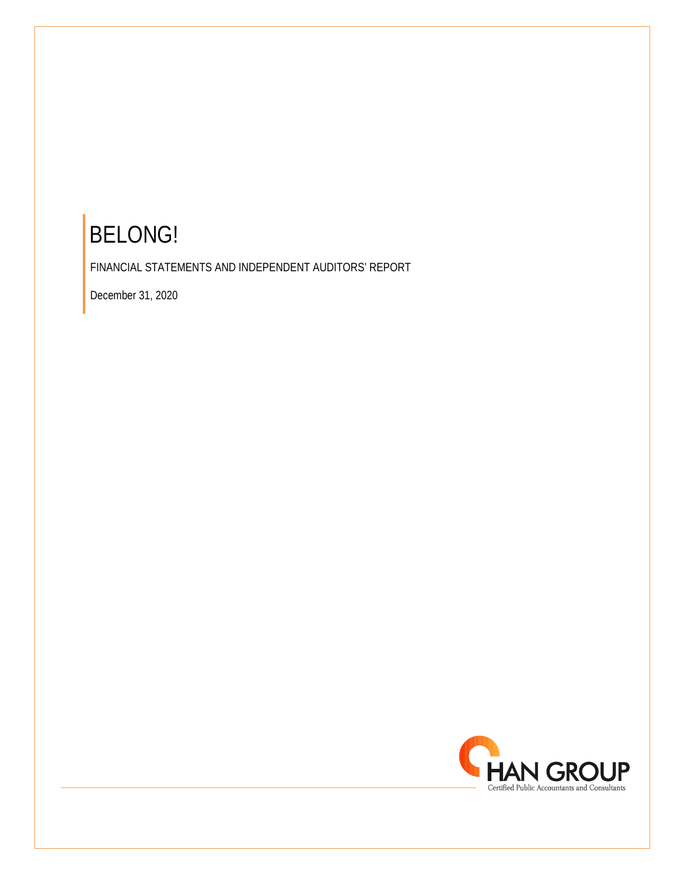# BELONG!

FINANCIAL STATEMENTS AND INDEPENDENT AUDITORS' REPORT

December 31, 2020

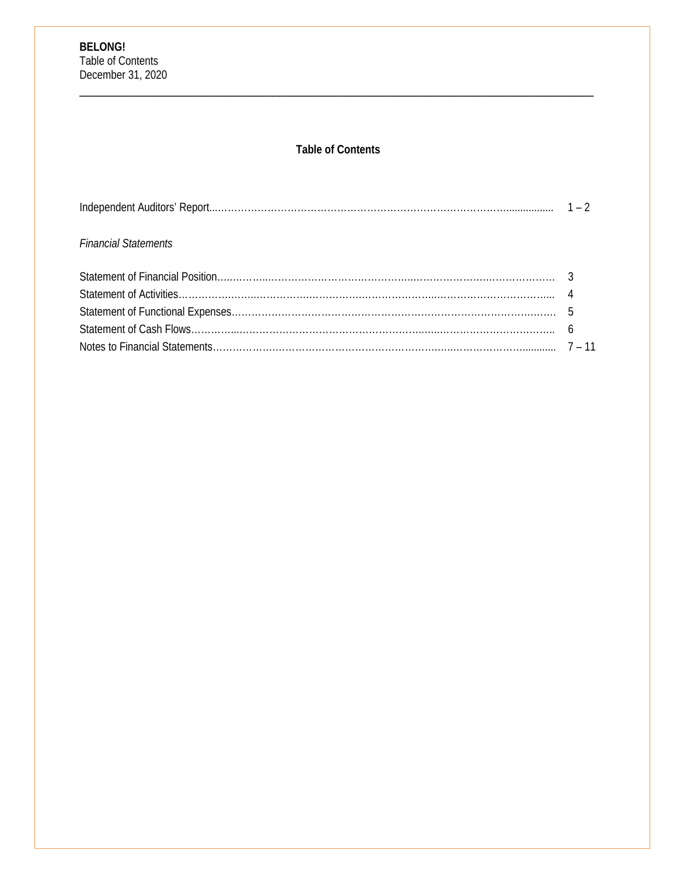# **Table of Contents**

| <b>Financial Statements</b> |  |
|-----------------------------|--|
|                             |  |
|                             |  |
|                             |  |
|                             |  |
|                             |  |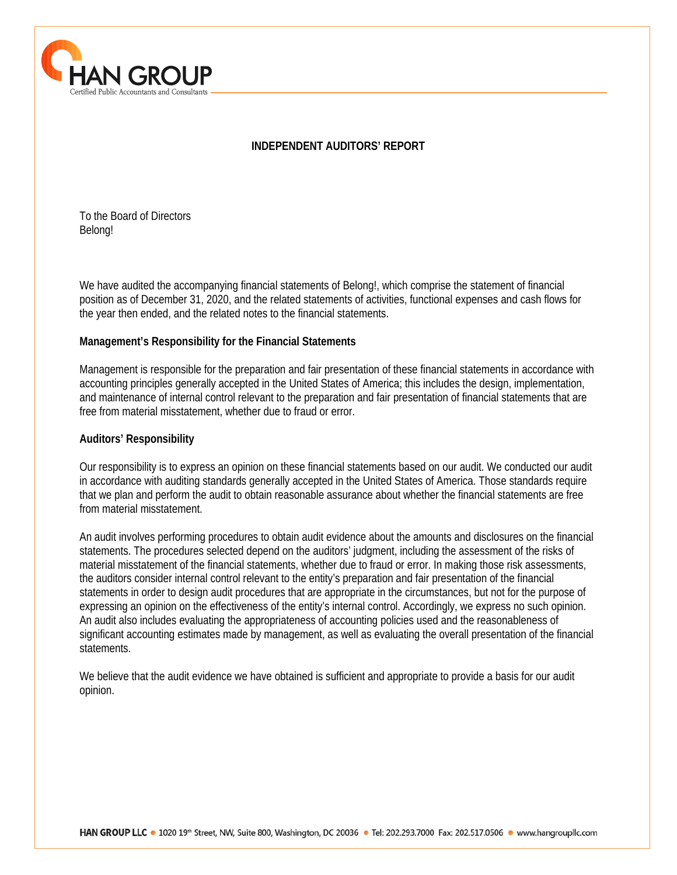

# **INDEPENDENT AUDITORS' REPORT**

To the Board of Directors Belong!

We have audited the accompanying financial statements of Belong!, which comprise the statement of financial position as of December 31, 2020, and the related statements of activities, functional expenses and cash flows for the year then ended, and the related notes to the financial statements.

# **Management's Responsibility for the Financial Statements**

Management is responsible for the preparation and fair presentation of these financial statements in accordance with accounting principles generally accepted in the United States of America; this includes the design, implementation, and maintenance of internal control relevant to the preparation and fair presentation of financial statements that are free from material misstatement, whether due to fraud or error.

# **Auditors' Responsibility**

 $\overline{a}$ 

Our responsibility is to express an opinion on these financial statements based on our audit. We conducted our audit in accordance with auditing standards generally accepted in the United States of America. Those standards require that we plan and perform the audit to obtain reasonable assurance about whether the financial statements are free from material misstatement.

An audit involves performing procedures to obtain audit evidence about the amounts and disclosures on the financial statements. The procedures selected depend on the auditors' judgment, including the assessment of the risks of material misstatement of the financial statements, whether due to fraud or error. In making those risk assessments, the auditors consider internal control relevant to the entity's preparation and fair presentation of the financial statements in order to design audit procedures that are appropriate in the circumstances, but not for the purpose of expressing an opinion on the effectiveness of the entity's internal control. Accordingly, we express no such opinion. An audit also includes evaluating the appropriateness of accounting policies used and the reasonableness of significant accounting estimates made by management, as well as evaluating the overall presentation of the financial statements.

We believe that the audit evidence we have obtained is sufficient and appropriate to provide a basis for our audit opinion.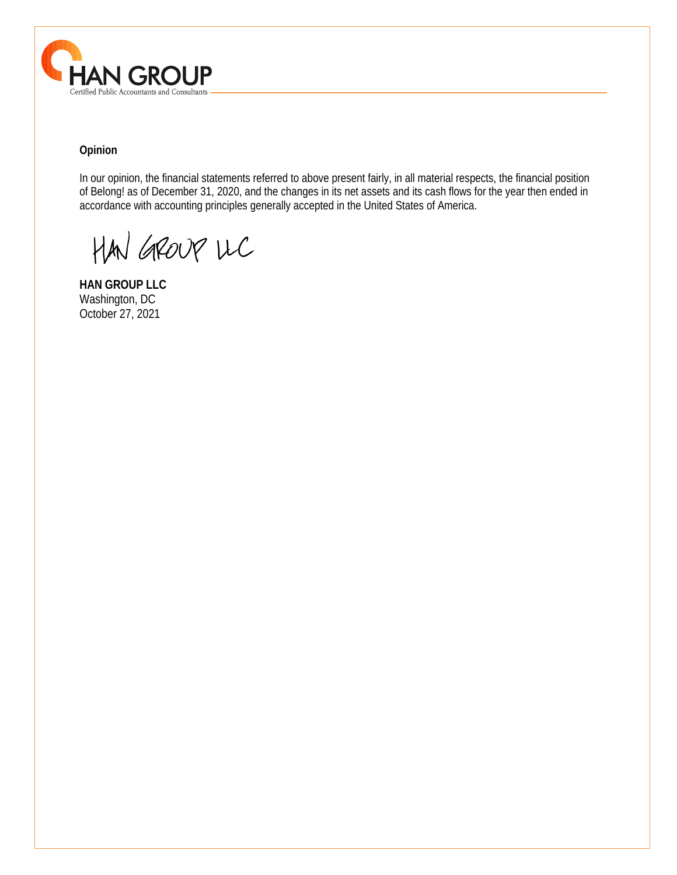

# **Opinion**

In our opinion, the financial statements referred to above present fairly, in all material respects, the financial position of Belong! as of December 31, 2020, and the changes in its net assets and its cash flows for the year then ended in accordance with accounting principles generally accepted in the United States of America.

HAN GROUP UC

**HAN GROUP LLC**  Washington, DC October 27, 2021

 $\overline{a}$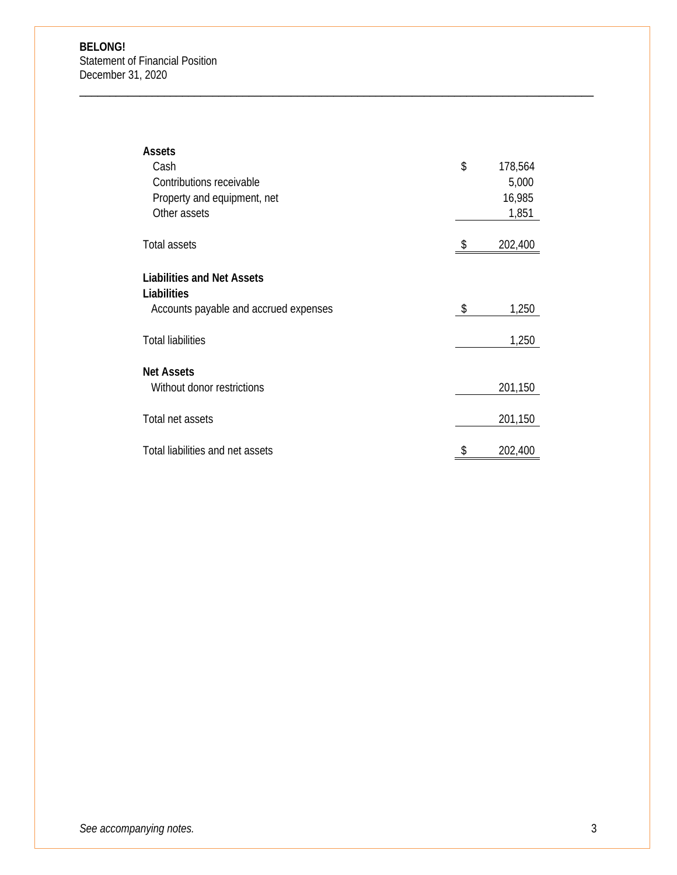| <b>Assets</b>                         |               |
|---------------------------------------|---------------|
| Cash                                  | \$<br>178,564 |
| Contributions receivable              | 5,000         |
| Property and equipment, net           | 16,985        |
| Other assets                          | 1,851         |
|                                       |               |
| <b>Total assets</b>                   | 202,400       |
|                                       |               |
| <b>Liabilities and Net Assets</b>     |               |
| Liabilities                           |               |
| Accounts payable and accrued expenses | \$<br>1,250   |
|                                       |               |
| <b>Total liabilities</b>              | 1,250         |
|                                       |               |
| <b>Net Assets</b>                     |               |
| Without donor restrictions            | 201,150       |
| Total net assets                      | 201,150       |
|                                       |               |
| Total liabilities and net assets      | \$<br>202,400 |
|                                       |               |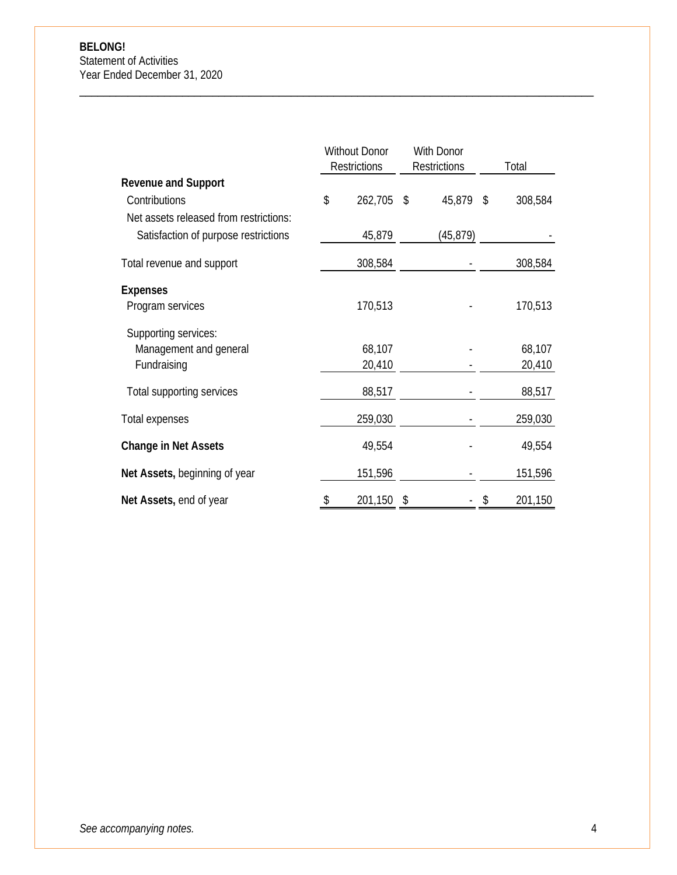|                                        | <b>Without Donor</b><br><b>Restrictions</b> |            | With Donor<br><b>Restrictions</b> |           | Total         |
|----------------------------------------|---------------------------------------------|------------|-----------------------------------|-----------|---------------|
| <b>Revenue and Support</b>             |                                             |            |                                   |           |               |
| Contributions                          | \$                                          | 262,705 \$ |                                   | 45,879 \$ | 308,584       |
| Net assets released from restrictions: |                                             |            |                                   |           |               |
| Satisfaction of purpose restrictions   |                                             | 45,879     |                                   | (45,879)  |               |
| Total revenue and support              |                                             | 308,584    |                                   |           | 308,584       |
| <b>Expenses</b>                        |                                             |            |                                   |           |               |
| Program services                       |                                             | 170,513    |                                   |           | 170,513       |
| Supporting services:                   |                                             |            |                                   |           |               |
| Management and general                 |                                             | 68,107     |                                   |           | 68,107        |
| Fundraising                            |                                             | 20,410     |                                   |           | 20,410        |
| Total supporting services              |                                             | 88,517     |                                   |           | 88,517        |
| Total expenses                         |                                             | 259,030    |                                   |           | 259,030       |
| <b>Change in Net Assets</b>            |                                             | 49,554     |                                   |           | 49,554        |
| Net Assets, beginning of year          |                                             | 151,596    |                                   |           | 151,596       |
| Net Assets, end of year                | \$                                          | 201,150    | \$                                |           | \$<br>201,150 |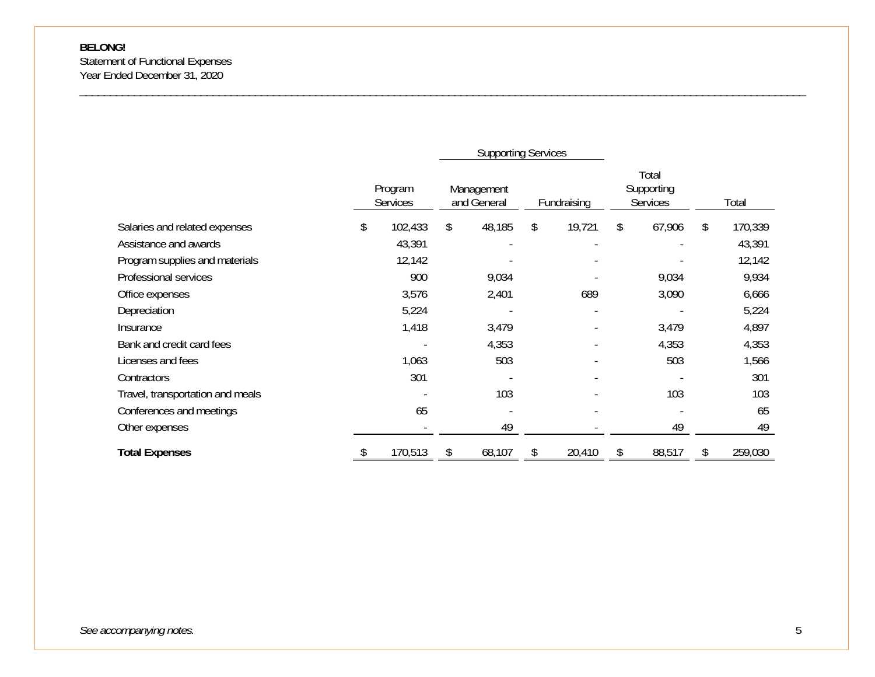# **BELONG!**  Statement of Functional Expenses Year Ended December 31, 2020

|                                  | <b>Supporting Services</b> |    |                           |              |                                 |        |       |         |
|----------------------------------|----------------------------|----|---------------------------|--------------|---------------------------------|--------|-------|---------|
|                                  | Program<br><b>Services</b> |    | Management<br>and General | Fundraising  | Total<br>Supporting<br>Services |        | Total |         |
| Salaries and related expenses    | \$<br>102,433              | \$ | 48,185                    | \$<br>19,721 | \$                              | 67,906 | S.    | 170,339 |
| Assistance and awards            | 43,391                     |    |                           |              |                                 |        |       | 43,391  |
| Program supplies and materials   | 12,142                     |    |                           |              |                                 |        |       | 12,142  |
| Professional services            | 900                        |    | 9,034                     |              |                                 | 9,034  |       | 9,934   |
| Office expenses                  | 3,576                      |    | 2,401                     | 689          |                                 | 3,090  |       | 6,666   |
| Depreciation                     | 5,224                      |    |                           |              |                                 |        |       | 5,224   |
| Insurance                        | 1,418                      |    | 3,479                     |              |                                 | 3,479  |       | 4,897   |
| Bank and credit card fees        |                            |    | 4,353                     |              |                                 | 4,353  |       | 4,353   |
| Licenses and fees                | 1,063                      |    | 503                       |              |                                 | 503    |       | 1,566   |
| Contractors                      | 301                        |    |                           |              |                                 |        |       | 301     |
| Travel, transportation and meals |                            |    | 103                       |              |                                 | 103    |       | 103     |
| Conferences and meetings         | 65                         |    |                           |              |                                 |        |       | 65      |
| Other expenses                   |                            |    | 49                        |              |                                 | 49     |       | 49      |
| <b>Total Expenses</b>            | 170,513                    |    | 68,107                    | 20,410       |                                 | 88,517 |       | 259,030 |

\_\_\_\_\_\_\_\_\_\_\_\_\_\_\_\_\_\_\_\_\_\_\_\_\_\_\_\_\_\_\_\_\_\_\_\_\_\_\_\_\_\_\_\_\_\_\_\_\_\_\_\_\_\_\_\_\_\_\_\_\_\_\_\_\_\_\_\_\_\_\_\_\_\_\_\_\_\_\_\_\_\_\_\_\_\_\_\_\_\_\_\_\_\_\_\_\_\_\_\_\_\_\_\_\_\_\_\_\_\_\_\_\_\_\_\_\_\_\_\_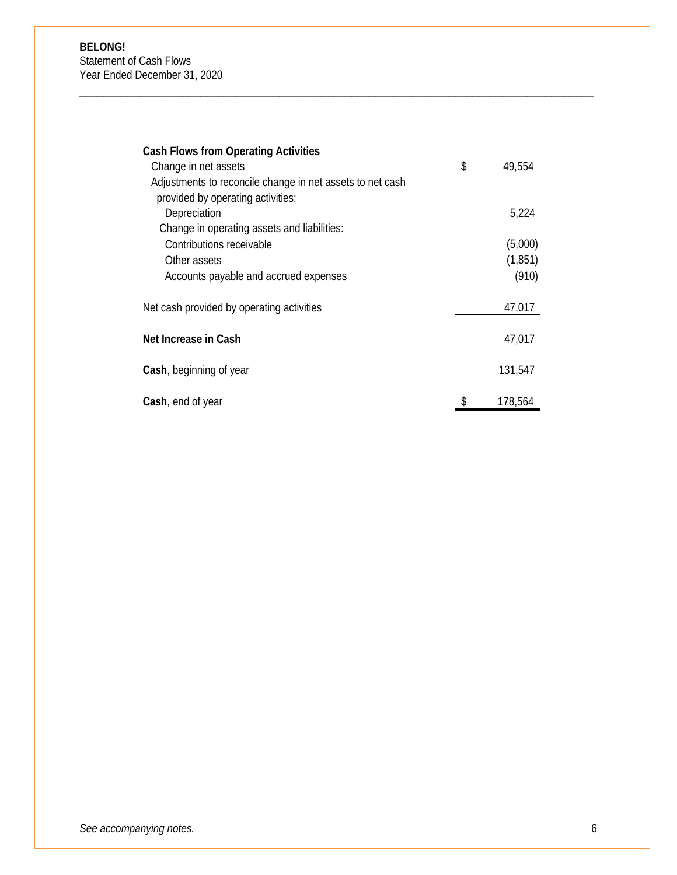| <b>Cash Flows from Operating Activities</b>               |              |
|-----------------------------------------------------------|--------------|
| Change in net assets                                      | \$<br>49,554 |
| Adjustments to reconcile change in net assets to net cash |              |
| provided by operating activities:                         |              |
| Depreciation                                              | 5,224        |
| Change in operating assets and liabilities:               |              |
| Contributions receivable                                  | (5,000)      |
| Other assets                                              | (1,851)      |
| Accounts payable and accrued expenses                     | (910)        |
| Net cash provided by operating activities                 | 47,017       |
| Net Increase in Cash                                      | 47,017       |
| Cash, beginning of year                                   | 131,547      |
| Cash, end of year                                         | 178,564      |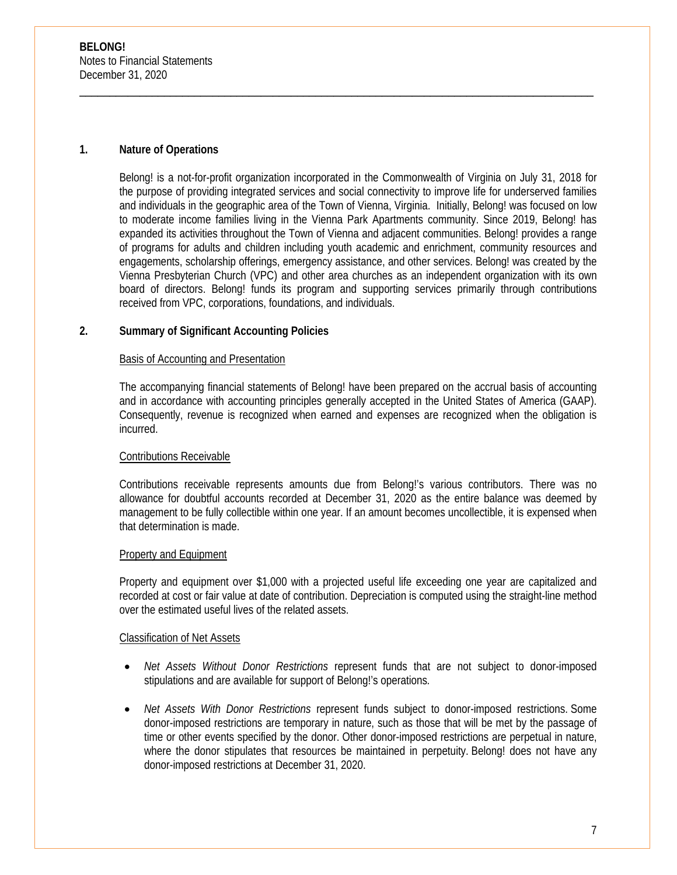# **1. Nature of Operations**

Belong! is a not-for-profit organization incorporated in the Commonwealth of Virginia on July 31, 2018 for the purpose of providing integrated services and social connectivity to improve life for underserved families and individuals in the geographic area of the Town of Vienna, Virginia. Initially, Belong! was focused on low to moderate income families living in the Vienna Park Apartments community. Since 2019, Belong! has expanded its activities throughout the Town of Vienna and adjacent communities. Belong! provides a range of programs for adults and children including youth academic and enrichment, community resources and engagements, scholarship offerings, emergency assistance, and other services. Belong! was created by the Vienna Presbyterian Church (VPC) and other area churches as an independent organization with its own board of directors. Belong! funds its program and supporting services primarily through contributions received from VPC, corporations, foundations, and individuals.

\_\_\_\_\_\_\_\_\_\_\_\_\_\_\_\_\_\_\_\_\_\_\_\_\_\_\_\_\_\_\_\_\_\_\_\_\_\_\_\_\_\_\_\_\_\_\_\_\_\_\_\_\_\_\_\_\_\_\_\_\_\_\_\_\_\_\_\_\_\_\_\_\_\_\_\_\_\_\_\_\_\_\_\_\_

# **2. Summary of Significant Accounting Policies**

# Basis of Accounting and Presentation

The accompanying financial statements of Belong! have been prepared on the accrual basis of accounting and in accordance with accounting principles generally accepted in the United States of America (GAAP). Consequently, revenue is recognized when earned and expenses are recognized when the obligation is incurred.

# Contributions Receivable

Contributions receivable represents amounts due from Belong!'s various contributors. There was no allowance for doubtful accounts recorded at December 31, 2020 as the entire balance was deemed by management to be fully collectible within one year. If an amount becomes uncollectible, it is expensed when that determination is made.

# Property and Equipment

Property and equipment over \$1,000 with a projected useful life exceeding one year are capitalized and recorded at cost or fair value at date of contribution. Depreciation is computed using the straight-line method over the estimated useful lives of the related assets.

# Classification of Net Assets

- *Net Assets Without Donor Restrictions* represent funds that are not subject to donor-imposed stipulations and are available for support of Belong!'s operations*.*
- *Net Assets With Donor Restrictions* represent funds subject to donor-imposed restrictions. Some donor-imposed restrictions are temporary in nature, such as those that will be met by the passage of time or other events specified by the donor. Other donor-imposed restrictions are perpetual in nature, where the donor stipulates that resources be maintained in perpetuity. Belong! does not have any donor-imposed restrictions at December 31, 2020.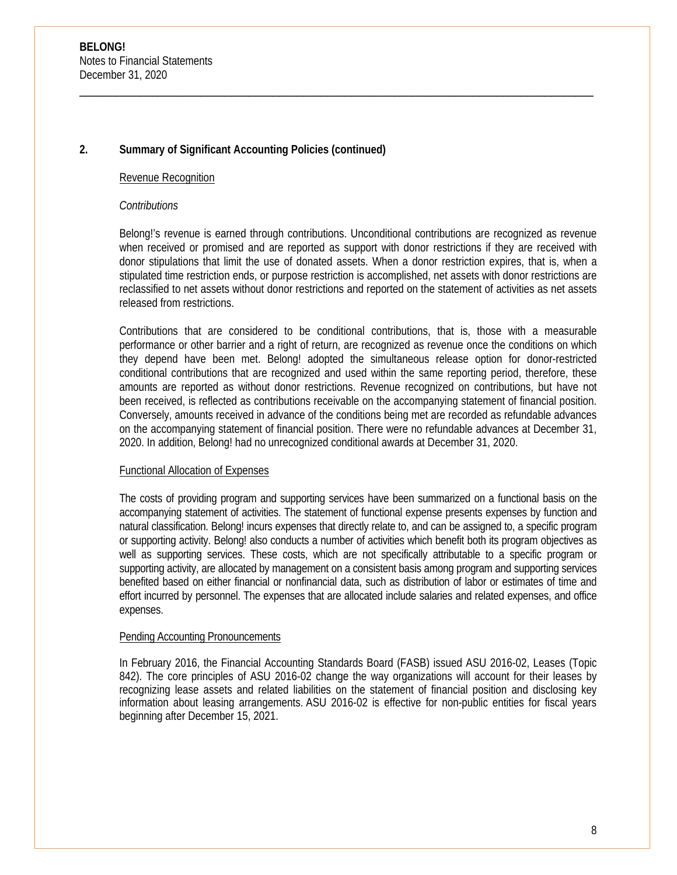# **2. Summary of Significant Accounting Policies (continued)**

#### Revenue Recognition

#### *Contributions*

Belong!'s revenue is earned through contributions. Unconditional contributions are recognized as revenue when received or promised and are reported as support with donor restrictions if they are received with donor stipulations that limit the use of donated assets. When a donor restriction expires, that is, when a stipulated time restriction ends, or purpose restriction is accomplished, net assets with donor restrictions are reclassified to net assets without donor restrictions and reported on the statement of activities as net assets released from restrictions.

\_\_\_\_\_\_\_\_\_\_\_\_\_\_\_\_\_\_\_\_\_\_\_\_\_\_\_\_\_\_\_\_\_\_\_\_\_\_\_\_\_\_\_\_\_\_\_\_\_\_\_\_\_\_\_\_\_\_\_\_\_\_\_\_\_\_\_\_\_\_\_\_\_\_\_\_\_\_\_\_\_\_\_\_\_

Contributions that are considered to be conditional contributions, that is, those with a measurable performance or other barrier and a right of return, are recognized as revenue once the conditions on which they depend have been met. Belong! adopted the simultaneous release option for donor-restricted conditional contributions that are recognized and used within the same reporting period, therefore, these amounts are reported as without donor restrictions. Revenue recognized on contributions, but have not been received, is reflected as contributions receivable on the accompanying statement of financial position. Conversely, amounts received in advance of the conditions being met are recorded as refundable advances on the accompanying statement of financial position. There were no refundable advances at December 31, 2020. In addition, Belong! had no unrecognized conditional awards at December 31, 2020.

# Functional Allocation of Expenses

The costs of providing program and supporting services have been summarized on a functional basis on the accompanying statement of activities. The statement of functional expense presents expenses by function and natural classification. Belong! incurs expenses that directly relate to, and can be assigned to, a specific program or supporting activity. Belong! also conducts a number of activities which benefit both its program objectives as well as supporting services. These costs, which are not specifically attributable to a specific program or supporting activity, are allocated by management on a consistent basis among program and supporting services benefited based on either financial or nonfinancial data, such as distribution of labor or estimates of time and effort incurred by personnel. The expenses that are allocated include salaries and related expenses, and office expenses.

#### Pending Accounting Pronouncements

In February 2016, the Financial Accounting Standards Board (FASB) issued ASU 2016-02, Leases (Topic 842). The core principles of ASU 2016-02 change the way organizations will account for their leases by recognizing lease assets and related liabilities on the statement of financial position and disclosing key information about leasing arrangements. ASU 2016-02 is effective for non-public entities for fiscal years beginning after December 15, 2021.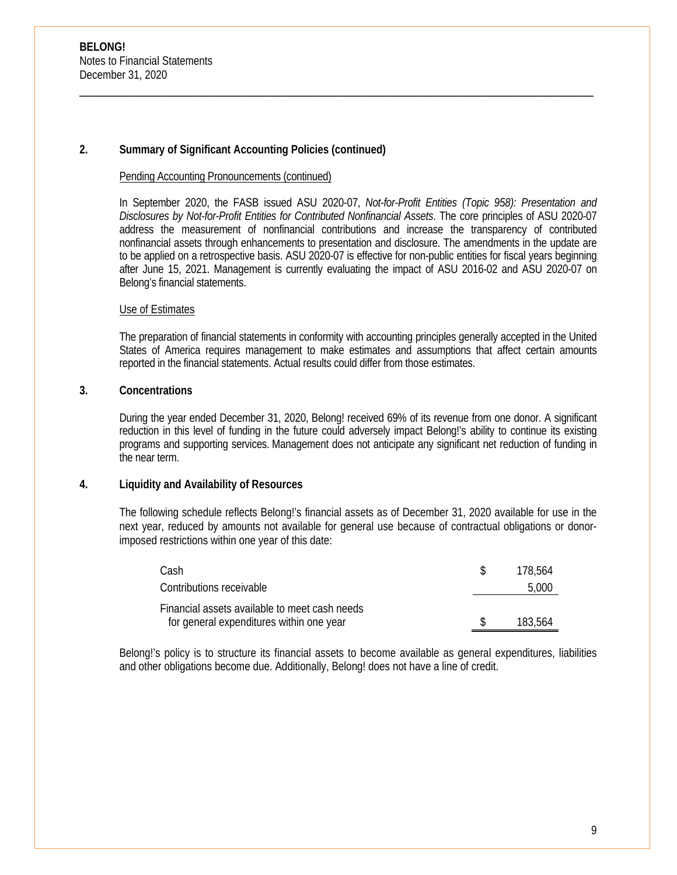# **2. Summary of Significant Accounting Policies (continued)**

#### Pending Accounting Pronouncements (continued)

In September 2020, the FASB issued ASU 2020-07, *Not-for-Profit Entities (Topic 958): Presentation and Disclosures by Not-for-Profit Entities for Contributed Nonfinancial Assets*. The core principles of ASU 2020-07 address the measurement of nonfinancial contributions and increase the transparency of contributed nonfinancial assets through enhancements to presentation and disclosure. The amendments in the update are to be applied on a retrospective basis. ASU 2020-07 is effective for non-public entities for fiscal years beginning after June 15, 2021. Management is currently evaluating the impact of ASU 2016-02 and ASU 2020-07 on Belong's financial statements.

\_\_\_\_\_\_\_\_\_\_\_\_\_\_\_\_\_\_\_\_\_\_\_\_\_\_\_\_\_\_\_\_\_\_\_\_\_\_\_\_\_\_\_\_\_\_\_\_\_\_\_\_\_\_\_\_\_\_\_\_\_\_\_\_\_\_\_\_\_\_\_\_\_\_\_\_\_\_\_\_\_\_\_\_\_

# Use of Estimates

The preparation of financial statements in conformity with accounting principles generally accepted in the United States of America requires management to make estimates and assumptions that affect certain amounts reported in the financial statements. Actual results could differ from those estimates.

# **3. Concentrations**

During the year ended December 31, 2020, Belong! received 69% of its revenue from one donor. A significant reduction in this level of funding in the future could adversely impact Belong!'s ability to continue its existing programs and supporting services. Management does not anticipate any significant net reduction of funding in the near term.

# **4. Liquidity and Availability of Resources**

The following schedule reflects Belong!'s financial assets as of December 31, 2020 available for use in the next year, reduced by amounts not available for general use because of contractual obligations or donorimposed restrictions within one year of this date:

| Cash                                                                                      |    | 178.564 |
|-------------------------------------------------------------------------------------------|----|---------|
| Contributions receivable                                                                  |    | 5,000   |
| Financial assets available to meet cash needs<br>for general expenditures within one year | -S | 183.564 |

Belong!'s policy is to structure its financial assets to become available as general expenditures, liabilities and other obligations become due. Additionally, Belong! does not have a line of credit.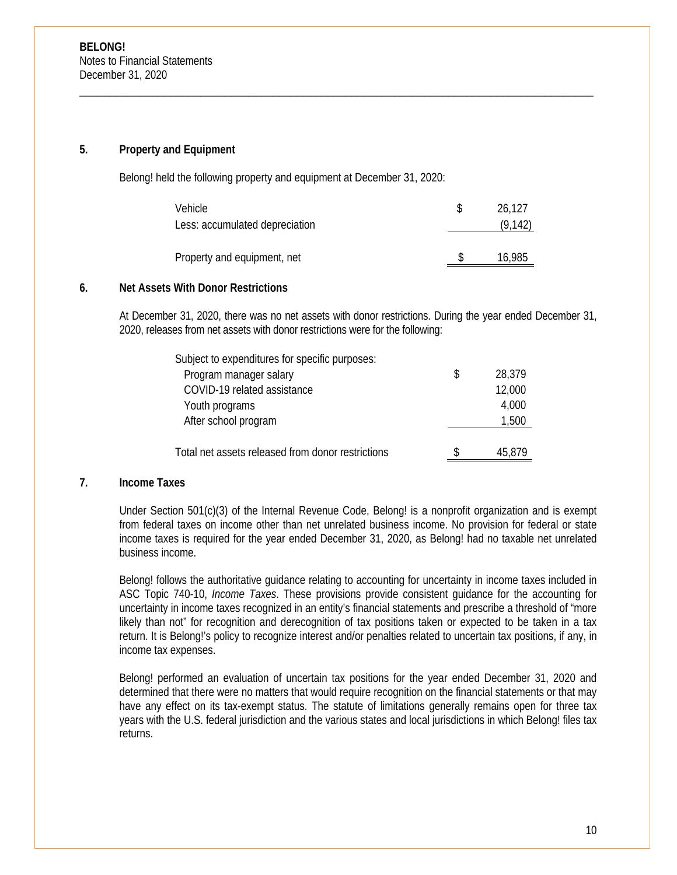# **5. Property and Equipment**

Belong! held the following property and equipment at December 31, 2020:

| Vehicle<br>Less: accumulated depreciation | 26.127<br>(9, 142) |
|-------------------------------------------|--------------------|
| Property and equipment, net               | 16,985             |

\_\_\_\_\_\_\_\_\_\_\_\_\_\_\_\_\_\_\_\_\_\_\_\_\_\_\_\_\_\_\_\_\_\_\_\_\_\_\_\_\_\_\_\_\_\_\_\_\_\_\_\_\_\_\_\_\_\_\_\_\_\_\_\_\_\_\_\_\_\_\_\_\_\_\_\_\_\_\_\_\_\_\_\_\_

# **6. Net Assets With Donor Restrictions**

At December 31, 2020, there was no net assets with donor restrictions. During the year ended December 31, 2020, releases from net assets with donor restrictions were for the following:

| Subject to expenditures for specific purposes:    |   |        |
|---------------------------------------------------|---|--------|
| Program manager salary                            | S | 28,379 |
| COVID-19 related assistance                       |   | 12,000 |
| Youth programs                                    |   | 4,000  |
| After school program                              |   | 1,500  |
|                                                   |   |        |
| Total net assets released from donor restrictions |   | 45,879 |

# **7. Income Taxes**

Under Section 501(c)(3) of the Internal Revenue Code, Belong! is a nonprofit organization and is exempt from federal taxes on income other than net unrelated business income. No provision for federal or state income taxes is required for the year ended December 31, 2020, as Belong! had no taxable net unrelated business income.

Belong! follows the authoritative guidance relating to accounting for uncertainty in income taxes included in ASC Topic 740-10, *Income Taxes*. These provisions provide consistent guidance for the accounting for uncertainty in income taxes recognized in an entity's financial statements and prescribe a threshold of "more likely than not" for recognition and derecognition of tax positions taken or expected to be taken in a tax return. It is Belong!'s policy to recognize interest and/or penalties related to uncertain tax positions, if any, in income tax expenses.

Belong! performed an evaluation of uncertain tax positions for the year ended December 31, 2020 and determined that there were no matters that would require recognition on the financial statements or that may have any effect on its tax-exempt status. The statute of limitations generally remains open for three tax years with the U.S. federal jurisdiction and the various states and local jurisdictions in which Belong! files tax returns.